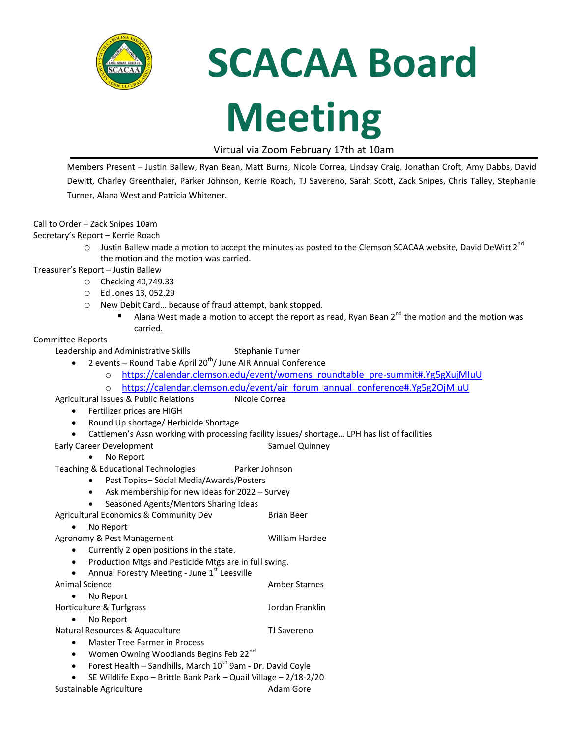

# **SCACAA Board**

## **Meeting**

#### Virtual via Zoom February 17th at 10am

Members Present – Justin Ballew, Ryan Bean, Matt Burns, Nicole Correa, Lindsay Craig, Jonathan Croft, Amy Dabbs, David Dewitt, Charley Greenthaler, Parker Johnson, Kerrie Roach, TJ Savereno, Sarah Scott, Zack Snipes, Chris Talley, Stephanie Turner, Alana West and Patricia Whitener.

Call to Order – Zack Snipes 10am

Secretary's Report – Kerrie Roach

 $\circ$  Justin Ballew made a motion to accept the minutes as posted to the Clemson SCACAA website, David DeWitt 2<sup>nd</sup> the motion and the motion was carried.

Treasurer's Report – Justin Ballew

- o Checking 40,749.33
- o Ed Jones 13, 052.29
- o New Debit Card… because of fraud attempt, bank stopped.
	- Alana West made a motion to accept the report as read, Ryan Bean  $2^{nd}$  the motion and the motion was carried.

#### Committee Reports

- Leadership and Administrative Skills Stephanie Turner
	- 2 events Round Table April 20<sup>th</sup>/ June AIR Annual Conference
		- o [https://calendar.clemson.edu/event/womens\\_roundtable\\_pre-summit#.Yg5gXujMIuU](https://calendar.clemson.edu/event/womens_roundtable_pre-summit#.Yg5gXujMIuU)
		- o [https://calendar.clemson.edu/event/air\\_forum\\_annual\\_conference#.Yg5g2OjMIuU](https://calendar.clemson.edu/event/air_forum_annual_conference#.Yg5g2OjMIuU)
- Agricultural Issues & Public Relations Micole Correa
	- Fertilizer prices are HIGH
	- Round Up shortage/ Herbicide Shortage
	- Cattlemen's Assn working with processing facility issues/ shortage… LPH has list of facilities

Early Career Development Samuel Quinney

• No Report

- Teaching & Educational Technologies Parker Johnson
	- Past Topics– Social Media/Awards/Posters
	- Ask membership for new ideas for 2022 Survey
	- Seasoned Agents/Mentors Sharing Ideas

Agricultural Economics & Community Dev Brian Beer

• No Report

Agronomy & Pest Management William Hardee

- Currently 2 open positions in the state.
- Production Mtgs and Pesticide Mtgs are in full swing.
- Annual Forestry Meeting June  $1<sup>st</sup>$  Leesville
- Animal Science **Amber Starnes** Amber Starnes
- No Report
- Horticulture & Turfgrass and a settlement of the Morticulture of Turfgrass and American American Settlement of • No Report
- Natural Resources & Aquaculture TJ Savereno
	- Master Tree Farmer in Process
	- Women Owning Woodlands Begins Feb 22 $^{\text{nd}}$
	- Forest Health Sandhills, March  $10^{th}$  9am Dr. David Coyle
	- SE Wildlife Expo Brittle Bank Park Quail Village 2/18-2/20

Sustainable Agriculture **Adam Gore** Adam Gore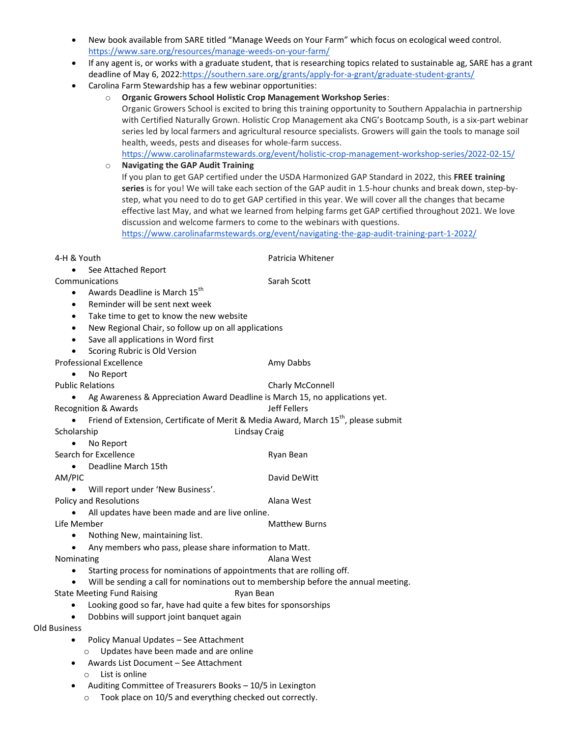- New book available from SARE titled "Manage Weeds on Your Farm" which focus on ecological weed control. <https://www.sare.org/resources/manage-weeds-on-your-farm/>
- If any agent is, or works with a graduate student, that is researching topics related to sustainable ag, SARE has a grant deadline of May 6, 2022[:https://southern.sare.org/grants/apply-for-a-grant/graduate-student-grants/](https://southern.sare.org/grants/apply-for-a-grant/graduate-student-grants/)
- Carolina Farm Stewardship has a few webinar opportunities:
	- o **Organic Growers School Holistic Crop Management Workshop Series**: Organic Growers School is excited to bring this training opportunity to Southern Appalachia in partnership with Certified Naturally Grown. Holistic Crop Management aka CNG's Bootcamp South, is a six-part webinar series led by local farmers and agricultural resource specialists. Growers will gain the tools to manage soil health, weeds, pests and diseases for whole-farm success. <https://www.carolinafarmstewards.org/event/holistic-crop-management-workshop-series/2022-02-15/>
	- o **Navigating the GAP Audit Training** If you plan to get GAP certified under the USDA Harmonized GAP Standard in 2022, this **FREE training series** is for you! We will take each section of the GAP audit in 1.5-hour chunks and break down, step-bystep, what you need to do to get GAP certified in this year. We will cover all the changes that became effective last May, and what we learned from helping farms get GAP certified throughout 2021. We love discussion and welcome farmers to come to the webinars with questions. <https://www.carolinafarmstewards.org/event/navigating-the-gap-audit-training-part-1-2022/>

| 4-H & Youth                                                                         | Patricia Whitener                                                                               |
|-------------------------------------------------------------------------------------|-------------------------------------------------------------------------------------------------|
| See Attached Report                                                                 |                                                                                                 |
| Communications                                                                      | Sarah Scott                                                                                     |
| Awards Deadline is March 15 <sup>th</sup><br>$\bullet$                              |                                                                                                 |
| Reminder will be sent next week<br>$\bullet$                                        |                                                                                                 |
| Take time to get to know the new website<br>$\bullet$                               |                                                                                                 |
| New Regional Chair, so follow up on all applications<br>$\bullet$                   |                                                                                                 |
| Save all applications in Word first<br>$\bullet$                                    |                                                                                                 |
| Scoring Rubric is Old Version<br>$\bullet$                                          |                                                                                                 |
| <b>Professional Excellence</b>                                                      | Amy Dabbs                                                                                       |
| No Report<br>$\bullet$                                                              |                                                                                                 |
| <b>Public Relations</b>                                                             | Charly McConnell                                                                                |
| $\bullet$                                                                           | Ag Awareness & Appreciation Award Deadline is March 15, no applications yet.                    |
| <b>Recognition &amp; Awards</b>                                                     | Jeff Fellers                                                                                    |
|                                                                                     | Friend of Extension, Certificate of Merit & Media Award, March 15 <sup>th</sup> , please submit |
| Scholarship                                                                         | <b>Lindsay Craig</b>                                                                            |
| No Report<br>$\bullet$                                                              |                                                                                                 |
| Search for Excellence                                                               | Ryan Bean                                                                                       |
| Deadline March 15th                                                                 |                                                                                                 |
| AM/PIC                                                                              | David DeWitt                                                                                    |
| Will report under 'New Business'.                                                   |                                                                                                 |
| Policy and Resolutions                                                              | Alana West                                                                                      |
| All updates have been made and are live online.                                     |                                                                                                 |
| Life Member                                                                         | <b>Matthew Burns</b>                                                                            |
| Nothing New, maintaining list.                                                      |                                                                                                 |
| Any members who pass, please share information to Matt.<br>$\bullet$                |                                                                                                 |
| Nominating                                                                          | Alana West                                                                                      |
| Starting process for nominations of appointments that are rolling off.<br>$\bullet$ |                                                                                                 |
| $\bullet$                                                                           | Will be sending a call for nominations out to membership before the annual meeting.             |
| <b>State Meeting Fund Raising</b>                                                   | Ryan Bean                                                                                       |
| Looking good so far, have had quite a few bites for sponsorships<br>$\bullet$       |                                                                                                 |
| Dobbins will support joint banquet again                                            |                                                                                                 |
| <b>Old Business</b>                                                                 |                                                                                                 |
| Policy Manual Updates - See Attachment<br>$\bullet$                                 |                                                                                                 |
| Updates have been made and are online<br>$\circ$                                    |                                                                                                 |
| Awards List Document - See Attachment                                               |                                                                                                 |
| List is online<br>$\circ$                                                           |                                                                                                 |
| Auditing Committee of Treasurers Books - 10/5 in Lexington                          |                                                                                                 |
| Took place on 10/5 and everything checked out correctly.<br>$\circ$                 |                                                                                                 |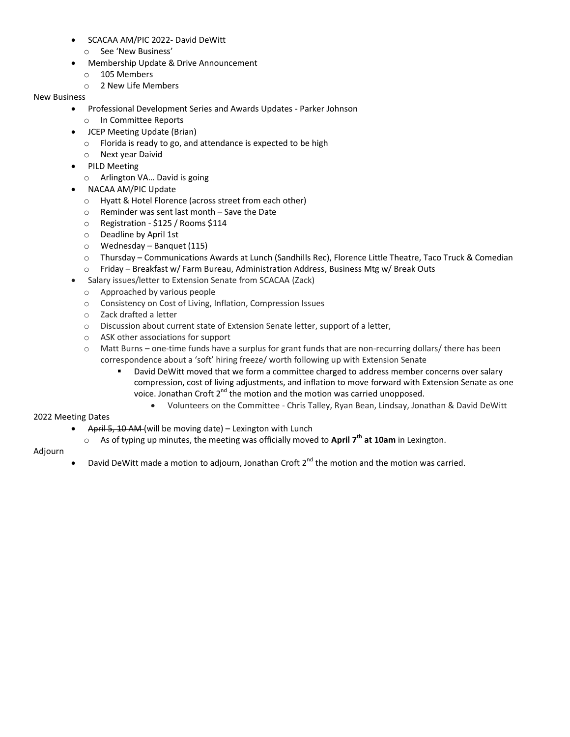- SCACAA AM/PIC 2022- David DeWitt
	- o See 'New Business'
- Membership Update & Drive Announcement
	- o 105 Members
	- o 2 New Life Members

#### New Business

- Professional Development Series and Awards Updates Parker Johnson
	- o In Committee Reports
- JCEP Meeting Update (Brian)
	- o Florida is ready to go, and attendance is expected to be high
	- o Next year Daivid
- PILD Meeting
	- o Arlington VA… David is going
- NACAA AM/PIC Update
	- o Hyatt & Hotel Florence (across street from each other)
	- o Reminder was sent last month Save the Date
	- o Registration \$125 / Rooms \$114
	- o Deadline by April 1st
	- o Wednesday Banquet (115)
	- o Thursday Communications Awards at Lunch (Sandhills Rec), Florence Little Theatre, Taco Truck & Comedian
	- o Friday Breakfast w/ Farm Bureau, Administration Address, Business Mtg w/ Break Outs
- Salary issues/letter to Extension Senate from SCACAA (Zack)
	- o Approached by various people
	- o Consistency on Cost of Living, Inflation, Compression Issues
	- o Zack drafted a letter
	- o Discussion about current state of Extension Senate letter, support of a letter,
	- o ASK other associations for support
	- o Matt Burns one-time funds have a surplus for grant funds that are non-recurring dollars/ there has been correspondence about a 'soft' hiring freeze/ worth following up with Extension Senate
		- David DeWitt moved that we form a committee charged to address member concerns over salary compression, cost of living adjustments, and inflation to move forward with Extension Senate as one voice. Jonathan Croft 2<sup>nd</sup> the motion and the motion was carried unopposed.
			- Volunteers on the Committee Chris Talley, Ryan Bean, Lindsay, Jonathan & David DeWitt

#### 2022 Meeting Dates

- April 5, 10 AM (will be moving date) Lexington with Lunch
	- o As of typing up minutes, the meeting was officially moved to **April 7th at 10am** in Lexington.

#### Adjourn

David DeWitt made a motion to adjourn, Jonathan Croft  $2^{nd}$  the motion and the motion was carried.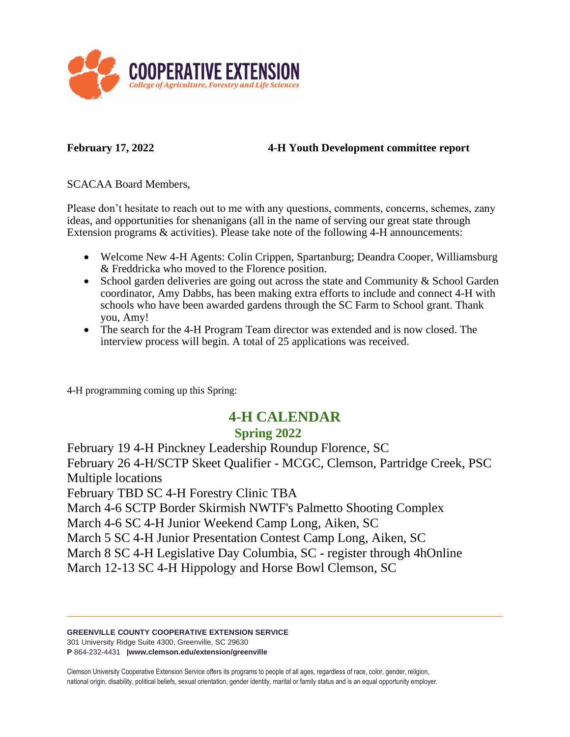

#### **February 17, 2022 4-H Youth Development committee report**

SCACAA Board Members,

Please don't hesitate to reach out to me with any questions, comments, concerns, schemes, zany ideas, and opportunities for shenanigans (all in the name of serving our great state through Extension programs & activities). Please take note of the following 4-H announcements:

- Welcome New 4-H Agents: Colin Crippen, Spartanburg; Deandra Cooper, Williamsburg & Freddricka who moved to the Florence position.
- School garden deliveries are going out across the state and Community & School Garden coordinator, Amy Dabbs, has been making extra efforts to include and connect 4-H with schools who have been awarded gardens through the SC Farm to School grant. Thank you, Amy!
- The search for the 4-H Program Team director was extended and is now closed. The interview process will begin. A total of 25 applications was received.

4-H programming coming up this Spring:

### **4-H CALENDAR**

#### **Spring 2022**

February 19 4-H Pinckney Leadership Roundup Florence, SC February 26 4-H/SCTP Skeet Qualifier - MCGC, Clemson, Partridge Creek, PSC Multiple locations February TBD SC 4-H Forestry Clinic TBA

March 4-6 SCTP Border Skirmish NWTF's Palmetto Shooting Complex

March 4-6 SC 4-H Junior Weekend Camp Long, Aiken, SC

March 5 SC 4-H Junior Presentation Contest Camp Long, Aiken, SC

March 8 SC 4-H Legislative Day Columbia, SC - register through 4hOnline

March 12-13 SC 4-H Hippology and Horse Bowl Clemson, SC

#### **GREENVILLE COUNTY COOPERATIVE EXTENSION SERVICE**

301 University Ridge Suite 4300, Greenville, SC 29630

**P** 864-232-4431 **|www.clemson.edu/extension/greenville**

Clemson University Cooperative Extension Service offers its programs to people of all ages, regardless of race, color, gender, religion, national origin, disability, political beliefs, sexual orientation, gender identity, marital or family status and is an equal opportunity employer.